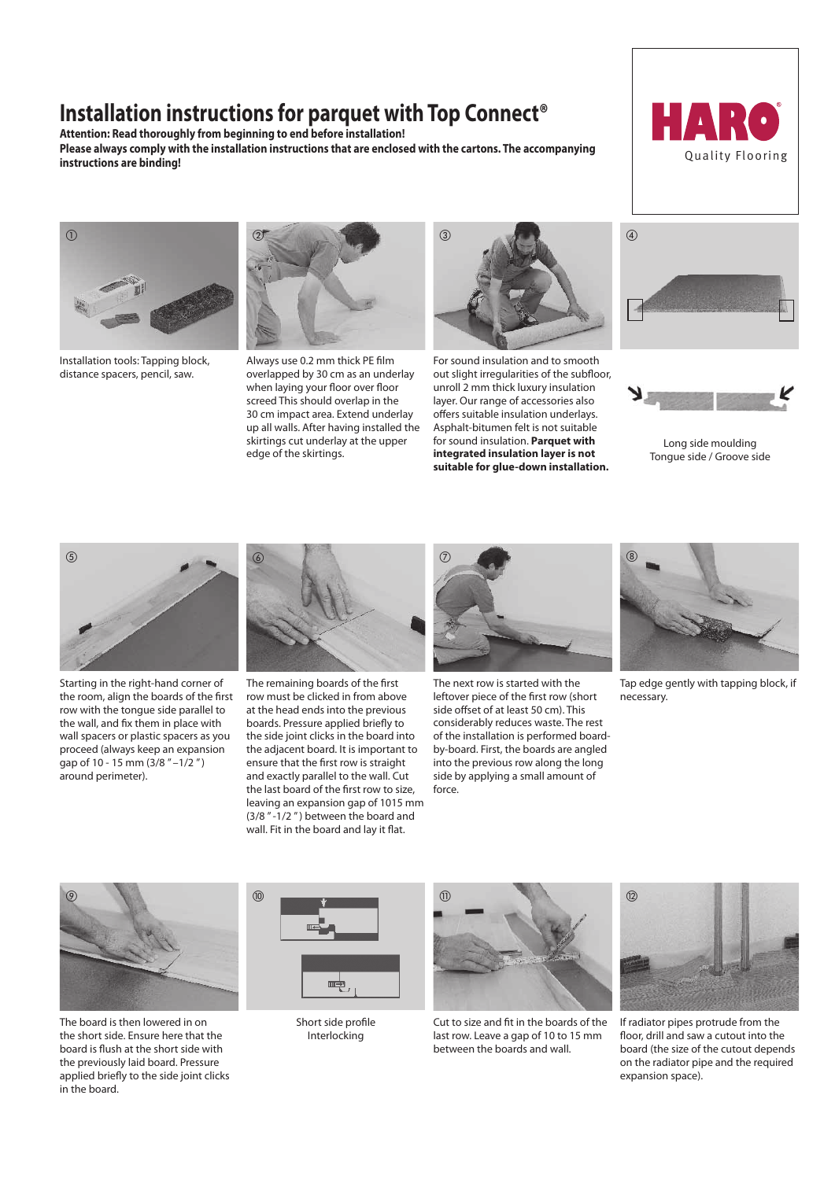# **Installation instructions for parquet with Top Connect®**

**Attention: Read thoroughly from beginning to end before installation! Please always comply with the installation instructions that are enclosed with the cartons. The accompanying instructions are binding!** Quality Flooring





Installation tools: Tapping block, distance spacers, pencil, saw.



Always use 0.2 mm thick PE film overlapped by 30 cm as an underlay when laying your floor over floor screed This should overlap in the 30 cm impact area. Extend underlay up all walls. After having installed the skirtings cut underlay at the upper edge of the skirtings.



For sound insulation and to smooth out slight irregularities of the subfloor, unroll 2 mm thick luxury insulation layer. Our range of accessories also offers suitable insulation underlays. Asphalt-bitumen felt is not suitable for sound insulation. **Parquet with integrated insulation layer is not suitable for glue-down installation.**





Long side moulding Tongue side / Groove side



Starting in the right-hand corner of the room, align the boards of the first row with the tongue side parallel to the wall, and fix them in place with wall spacers or plastic spacers as you proceed (always keep an expansion qap of 10 - 15 mm  $(3/8$  " $-1/2$ ") around perimeter).



The remaining boards of the first row must be clicked in from above at the head ends into the previous boards. Pressure applied briefly to the side joint clicks in the board into the adjacent board. It is important to ensure that the first row is straight and exactly parallel to the wall. Cut the last board of the first row to size, leaving an expansion gap of 1015 mm (3/8 " -1/2 " ) between the board and wall. Fit in the board and lay it flat.



The next row is started with the leftover piece of the first row (short side offset of at least 50 cm). This considerably reduces waste. The rest of the installation is performed boardby-board. First, the boards are angled into the previous row along the long side by applying a small amount of force.



Tap edge gently with tapping block, if necessary.



The board is then lowered in on the short side. Ensure here that the board is flush at the short side with the previously laid board. Pressure applied briefly to the side joint clicks in the board.



Short side profile Interlocking



Cut to size and fit in the boards of the last row. Leave a gap of 10 to 15 mm between the boards and wall.



If radiator pipes protrude from the floor, drill and saw a cutout into the board (the size of the cutout depends on the radiator pipe and the required expansion space).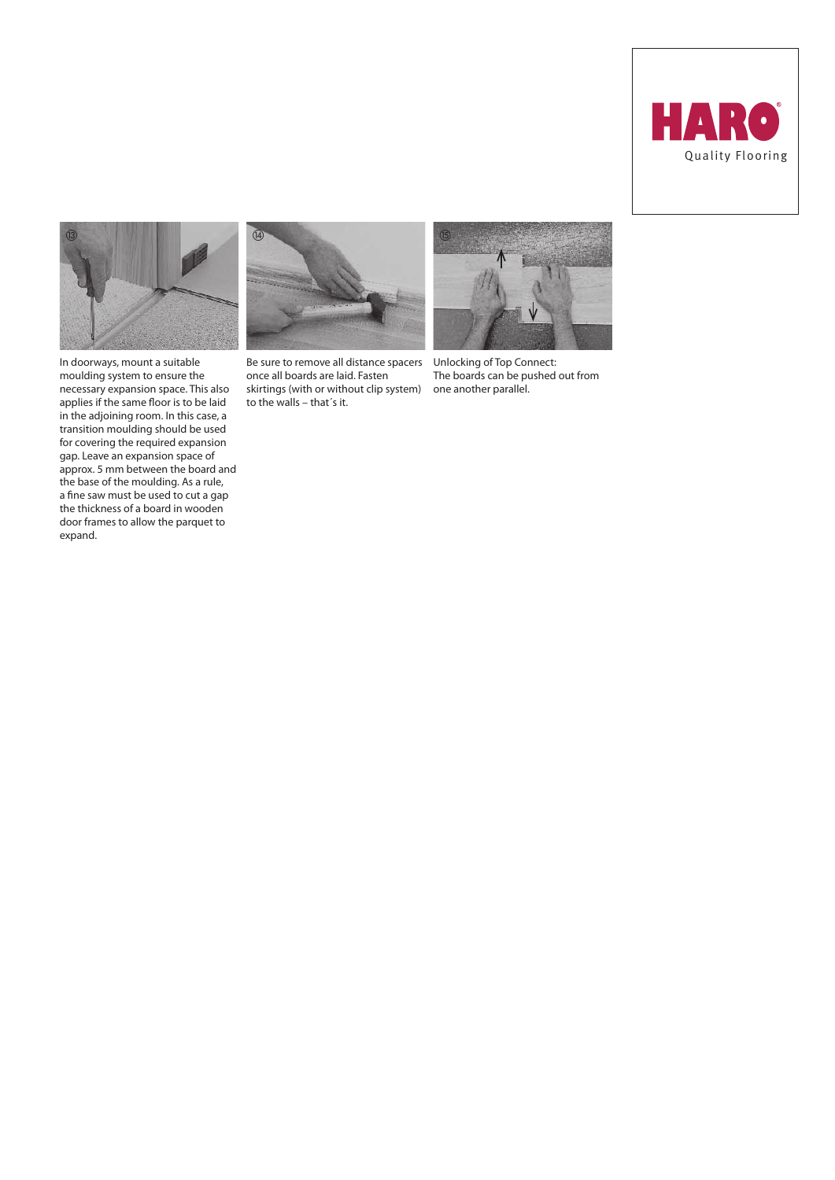



In doorways, mount a suitable moulding system to ensure the necessary expansion space. This also applies if the same floor is to be laid in the adjoining room. In this case, a transition moulding should be used for covering the required expansion gap. Leave an expansion space of approx. 5 mm between the board and the base of the moulding. As a rule, a fine saw must be used to cut a gap the thickness of a board in wooden door frames to allow the parquet to expand.



Be sure to remove all distance spacers once all boards are laid. Fasten skirtings (with or without clip system) to the walls – that´s it.



Unlocking of Top Connect: The boards can be pushed out from one another parallel.